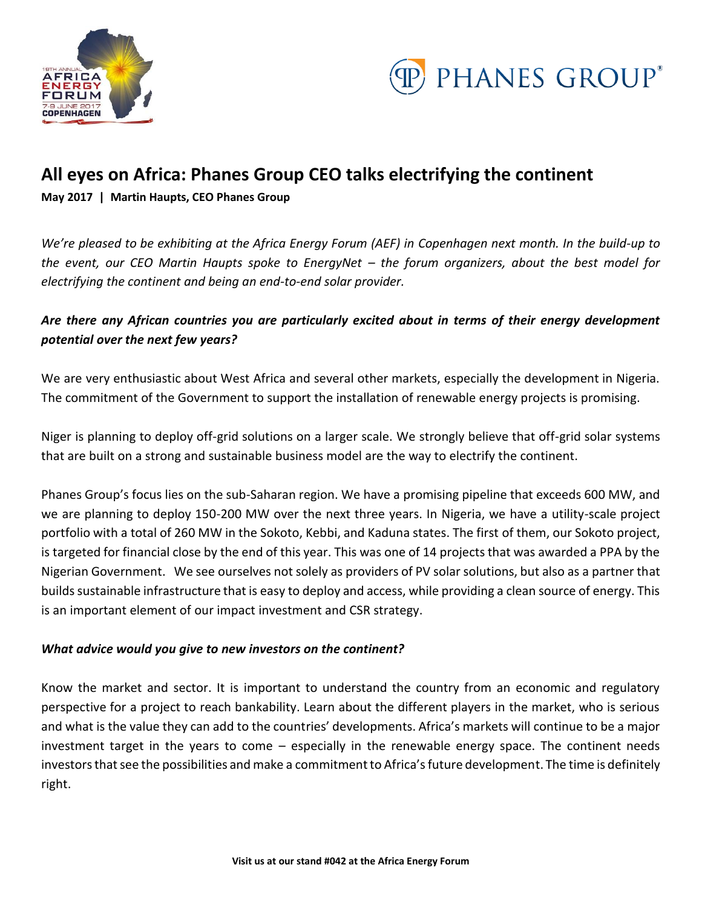



# **All eyes on Africa: Phanes Group CEO talks electrifying the continent**

**May 2017 | Martin Haupts, CEO Phanes Group** 

*We're pleased to be exhibiting at the Africa Energy Forum (AEF) in Copenhagen next month. In the build-up to the event, our CEO Martin Haupts spoke to EnergyNet – the forum organizers, about the best model for electrifying the continent and being an end-to-end solar provider.*

# *Are there any African countries you are particularly excited about in terms of their energy development potential over the next few years?*

We are very enthusiastic about West Africa and several other markets, especially the development in Nigeria. The commitment of the Government to support the installation of renewable energy projects is promising.

Niger is planning to deploy off-grid solutions on a larger scale. We strongly believe that off-grid solar systems that are built on a strong and sustainable business model are the way to electrify the continent.

Phanes Group's focus lies on the sub-Saharan region. We have a promising pipeline that exceeds 600 MW, and we are planning to deploy 150-200 MW over the next three years. In Nigeria, we have a utility-scale project portfolio with a total of 260 MW in the Sokoto, Kebbi, and Kaduna states. The first of them, our Sokoto project, is targeted for financial close by the end of this year. This was one of 14 projects that was awarded a PPA by the Nigerian Government. We see ourselves not solely as providers of PV solar solutions, but also as a partner that builds sustainable infrastructure that is easy to deploy and access, while providing a clean source of energy. This is an important element of our impact investment and CSR strategy.

## *What advice would you give to new investors on the continent?*

Know the market and sector. It is important to understand the country from an economic and regulatory perspective for a project to reach bankability. Learn about the different players in the market, who is serious and what is the value they can add to the countries' developments. Africa's markets will continue to be a major investment target in the years to come – especially in the renewable energy space. The continent needs investors that see the possibilities and make a commitment to Africa's future development. The time is definitely right.